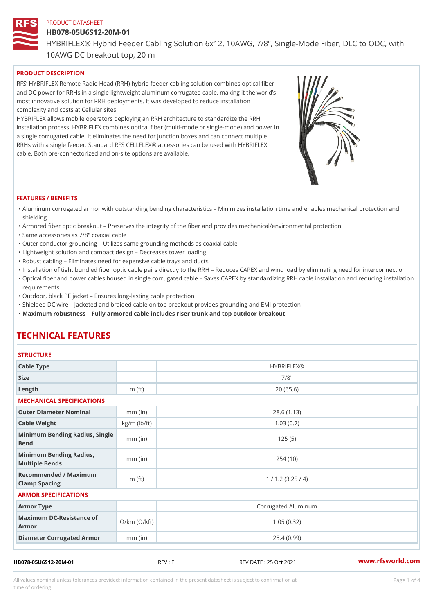# HB078-05U6S12-20M-01 HYBRIFLEX® Hybrid Feeder Cabling Solution 6x12, 10AWG, 7/8, Singl 10AWG DC breakout top, 20 m

## PRODUCT DESCRIPTION

RFS HYBRIFLEX Remote Radio Head (RRH) hybrid feeder cabling solution combines optical fibe and DC power for RRHs in a single lightweight aluminum corrugated cable, making it the world s most innovative solution for RRH deployments. It was developed to reduce installation complexity and costs at Cellular sites.

HYBRIFLEX allows mobile operators deploying an RRH architecture to standardize the RRH installation process. HYBRIFLEX combines optical fiber (multi-mode or single-mode) and power in a single corrugated cable. It eliminates the need for junction boxes and can connect multiple RRHs with a single feeder. Standard RFS CELLFLEX® accessories can be used with HYBRIFLEX cable. Both pre-connectorized and on-site options are available.

#### FEATURES / BENEFITS

- "Aluminum corrugated armor with outstanding bending characteristics Minimizes installation time a shielding
- "Armored fiber optic breakout Preserves the integrity of the fiber and provides mechanical/enviror
- "Same accessories as 7/8" coaxial cable
- "Outer conductor grounding Utilizes same grounding methods as coaxial cable
- "Lightweight solution and compact design Decreases tower loading
- "Robust cabling Eliminates need for expensive cable trays and ducts
- "Installation of tight bundled fiber optic cable pairs directly to the RRH  $\;$  Reduces CAPEX and wind "Optical fiber and power cables housed in single corrugated cable  $\,$  Saves CAPEX by standardiz $\,$ ng  $\,$ requirements
- "Outdoor, black PE jacket Ensures long-lasting cable protection
- "Shielded DC wire Jacketed and braided cable on top breakout provides grounding and EMI protec "Maximum robustness by armored cable includes riser trunk and top outdoor breakout

# TECHNICAL FEATURES

### STRUCTURE

| Cable Type                                                             |                    | <b>HYBRIFLEX®</b>   |  |  |  |  |
|------------------------------------------------------------------------|--------------------|---------------------|--|--|--|--|
| Size                                                                   |                    | $7/8$ "             |  |  |  |  |
| $L$ ength                                                              | $m$ (ft)           | 20(65.6)            |  |  |  |  |
| MECHANICAL SPECIFICATIONS                                              |                    |                     |  |  |  |  |
| Outer Diameter Nominal                                                 | $mm$ (in)          | 28.6(1.13)          |  |  |  |  |
| Cable Weight                                                           | $kg/m$ ( $lb/ft$ ) | 1.03(0.7)           |  |  |  |  |
| Minimum Bending Radius, Single<br>Bend                                 |                    | 125(5)              |  |  |  |  |
| Minimum Bending Radius, mm (in)<br>Multiple Bends                      |                    | 254(10)             |  |  |  |  |
| Recommended / Maximum<br>Clamp Spacing                                 | m $(ft)$           | 1 / 1.2 (3.25 / 4)  |  |  |  |  |
| ARMOR SPECIFICATIONS                                                   |                    |                     |  |  |  |  |
| Armor Type                                                             |                    | Corrugated Aluminum |  |  |  |  |
| Maximum DC-Resistance $\mathcal{S}/k$ m ( $\mathcal{O}/k$ ft)<br>Armor |                    | 1.05(0.32)          |  |  |  |  |
| Diameter Corrugated Armomm (in)                                        |                    | 25.4(0.99)          |  |  |  |  |

HB078-05U6S12-20M-01 REV : E REV DATE : 25 Oct 2021 [www.](https://www.rfsworld.com)rfsworld.com

All values nominal unless tolerances provided; information contained in the present datasheet is subject to Pcapgeligim attio time of ordering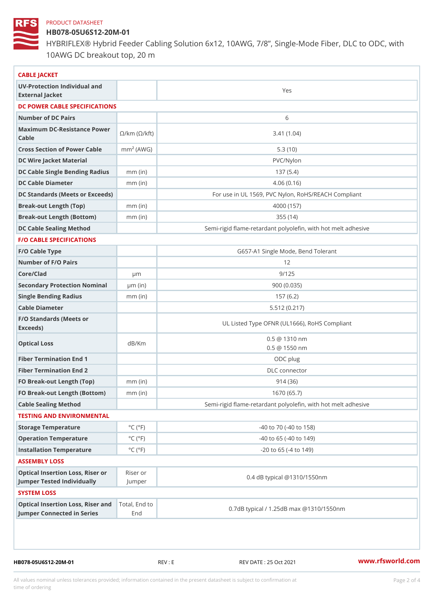### HB078-05U6S12-20M-01

HYBRIFLEX® Hybrid Feeder Cabling Solution 6x12, 10AWG, 7/8, Singl 10AWG DC breakout top, 20 m

| CABLE JACKET                                                                                                                 |                             |                                                          |  |  |  |
|------------------------------------------------------------------------------------------------------------------------------|-----------------------------|----------------------------------------------------------|--|--|--|
| UV-Protection Individual and                                                                                                 |                             | Yes                                                      |  |  |  |
| External Jacket                                                                                                              |                             |                                                          |  |  |  |
| DC POWER CABLE SPECIFICATIONS                                                                                                |                             |                                                          |  |  |  |
| Number of DC Pairs                                                                                                           |                             | 6                                                        |  |  |  |
| Maximum DC-Resistance $\bigotimes_{k=m}^{\infty}$ ( $\bigotimes_{k=m}^{\infty}$ /km ( $\bigotimes_{k=m}^{\infty}$ )<br>Cable |                             | 3.41(1.04)                                               |  |  |  |
| Cross Section of Power Chambre (AWG)                                                                                         |                             | 5.3(10)                                                  |  |  |  |
| DC Wire Jacket Material                                                                                                      |                             | PVC/Nylon                                                |  |  |  |
| DC Cable Single Bending Rhandi(uish)                                                                                         |                             | 137(5.4)                                                 |  |  |  |
| DC Cable Diameter                                                                                                            | $mm$ (in)                   | 4.06(0.16)                                               |  |  |  |
| DC Standards (Meets or Exceeds)                                                                                              |                             | For use in UL 1569, PVC Nylon, RoHS/REACH Compli         |  |  |  |
| Break-out Length (Top)                                                                                                       | $mm$ (in)                   | 4000 (157)                                               |  |  |  |
| Break-out Length (Bottcm)mm (in)                                                                                             |                             | 355(14)                                                  |  |  |  |
| DC Cable Sealing Method                                                                                                      |                             | Semi-rigid flame-retardant polyolefin, with hot melt adl |  |  |  |
| <b>F/O CABLE SPECIFICATIONS</b>                                                                                              |                             |                                                          |  |  |  |
| F/O Cable Type                                                                                                               |                             | G657-A1 Single Mode, Bend Tolerant                       |  |  |  |
| Number of F/O Pairs                                                                                                          |                             | 12                                                       |  |  |  |
| Core/Clad                                                                                                                    | $\mu$ m                     | 9/125                                                    |  |  |  |
| Secondary Protection Nomimal(in)                                                                                             |                             | 900 (0.035)                                              |  |  |  |
| Single Bending Radius                                                                                                        | $mm$ (in)                   | 157(6.2)                                                 |  |  |  |
| Cable Diameter                                                                                                               |                             | 5.512(0.217)                                             |  |  |  |
| F/O Standards (Meets or<br>Exceeds)                                                                                          |                             | UL Listed Type OFNR (UL1666), RoHS Compliant             |  |  |  |
| Optical Loss                                                                                                                 | dB/Km                       | $0.5 \t@ 1310 nm$<br>$0.5 \t@ 1550 nm$                   |  |  |  |
| Fiber Termination End                                                                                                        |                             | ODC plug                                                 |  |  |  |
| Fiber Termination End 2                                                                                                      |                             | DLC connector                                            |  |  |  |
| FO Break-out Length (Top)mm (in)                                                                                             |                             | 914 (36)                                                 |  |  |  |
| FO Break-out Length (Bottomm) (in)                                                                                           |                             | 1670 (65.7)                                              |  |  |  |
| Cable Sealing Method                                                                                                         |                             | Semi-rigid flame-retardant polyolefin, with hot melt ad  |  |  |  |
| TESTING AND ENVIRONMENTAL                                                                                                    |                             |                                                          |  |  |  |
| Storage Temperature                                                                                                          | $^{\circ}$ C ( $^{\circ}$ F | $-40$ to $70$ ( $-40$ to $158$ )                         |  |  |  |
| Operation Temperature                                                                                                        | $^{\circ}$ C ( $^{\circ}$ F | $-40$ to $65$ ( $-40$ to $149$ )                         |  |  |  |
| Installation Temperature                                                                                                     | $^{\circ}$ C ( $^{\circ}$ F | $-20$ to 65 ( $-4$ to 149)                               |  |  |  |
| ASSEMBLY LOSS                                                                                                                |                             |                                                          |  |  |  |
| Optical Insertion Loss, Rikes ear or<br>Jumper Tested IndividuallyJumper                                                     |                             | 0.4 dB typical @1310/1550nm                              |  |  |  |
| SYSTEM LOSS                                                                                                                  |                             |                                                          |  |  |  |
| Optical Insertion Loss, RTisterl, a Etch d to<br>Jumper Connected in SeriesEnd                                               |                             | 0.7dB typical / 1.25dB max @1310/1550nm                  |  |  |  |

HB078-05U6S12-20M-01 REV : E REV DATE : 25 Oct 2021 [www.](https://www.rfsworld.com)rfsworld.com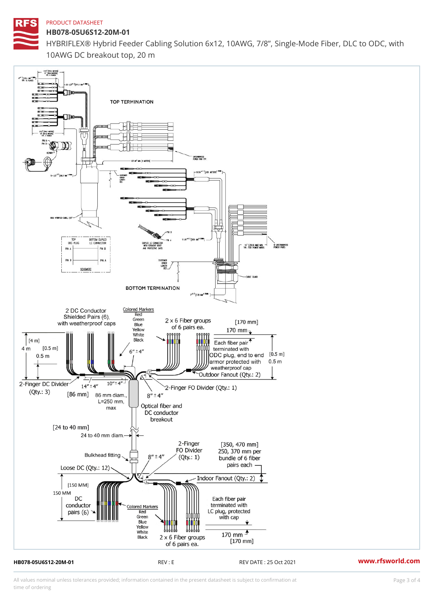HB078-05U6S12-20M-01 HYBRIFLEX® Hybrid Feeder Cabling Solution 6x12, 10AWG, 7/8, Singl 10AWG DC breakout top, 20 m

HB078-05U6S12-20M-01 REV : E REV DATE : 25 Oct 2021 [www.](https://www.rfsworld.com)rfsworld.com

All values nominal unless tolerances provided; information contained in the present datasheet is subject to Pcapgeling that i time of ordering